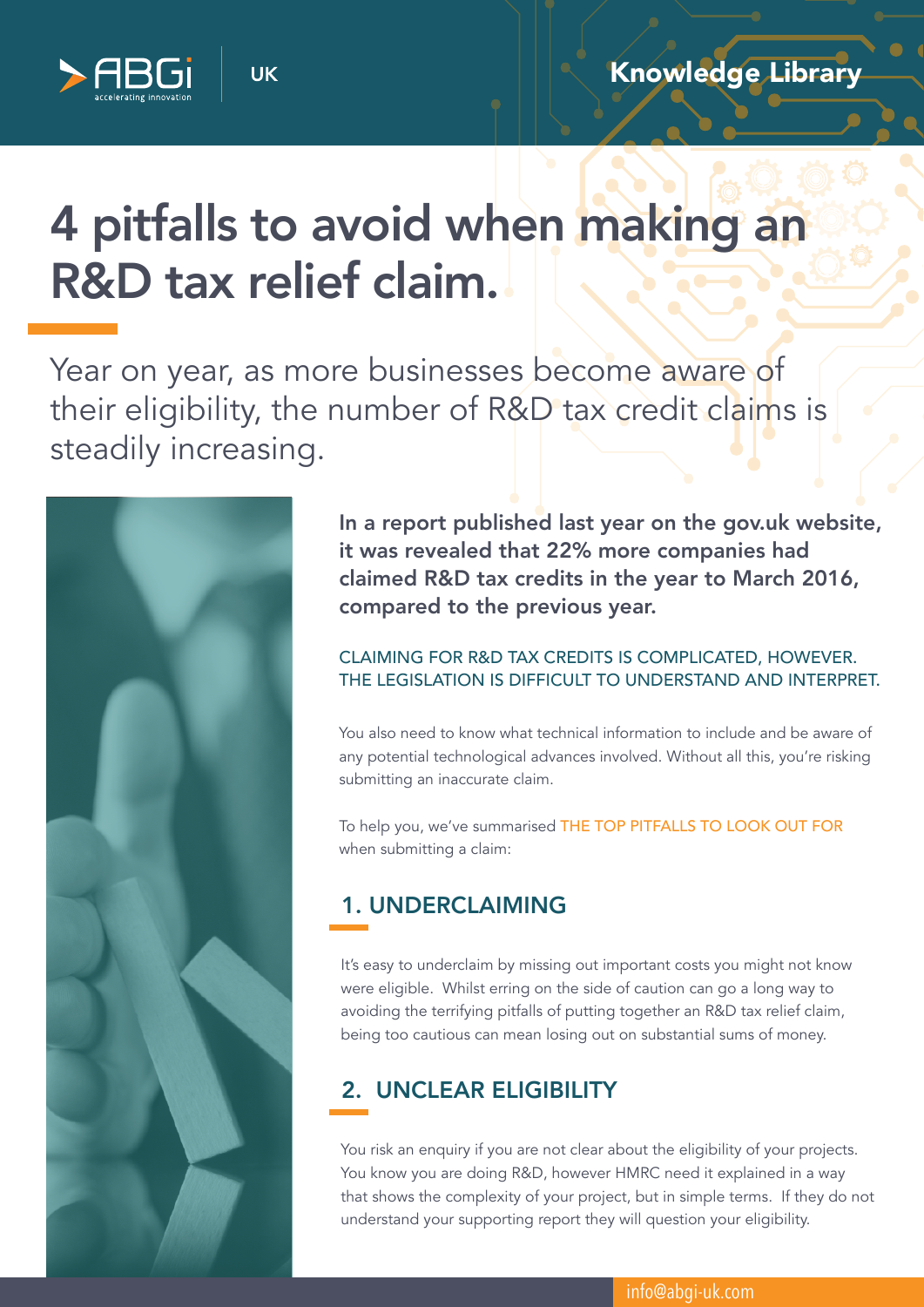

# 4 pitfalls to avoid when making an R&D tax relief claim.

UK

Year on year, as more businesses become aware of their eligibility, the number of R&D tax credit claims is steadily increasing.



In a report published last year on the gov.uk website, it was revealed that 22% more companies had claimed R&D tax credits in the year to March 2016, compared to the previous year.

## CLAIMING FOR R&D TAX CREDITS IS COMPLICATED, HOWEVER. THE LEGISLATION IS DIFFICULT TO UNDERSTAND AND INTERPRET.

You also need to know what technical information to include and be aware of any potential technological advances involved. Without all this, you're risking submitting an inaccurate claim.

To help you, we've summarised THE TOP PITFALLS TO LOOK OUT FOR when submitting a claim:

## 1. UNDERCLAIMING

It's easy to underclaim by missing out important costs you might not know were eligible. Whilst erring on the side of caution can go a long way to avoiding the terrifying pitfalls of putting together an R&D tax relief claim, being too cautious can mean losing out on substantial sums of money.

# 2. UNCLEAR ELIGIBILITY

You risk an enquiry if you are not clear about the eligibility of your projects. You know you are doing R&D, however HMRC need it explained in a way that shows the complexity of your project, but in simple terms. If they do not understand your supporting report they will question your eligibility.